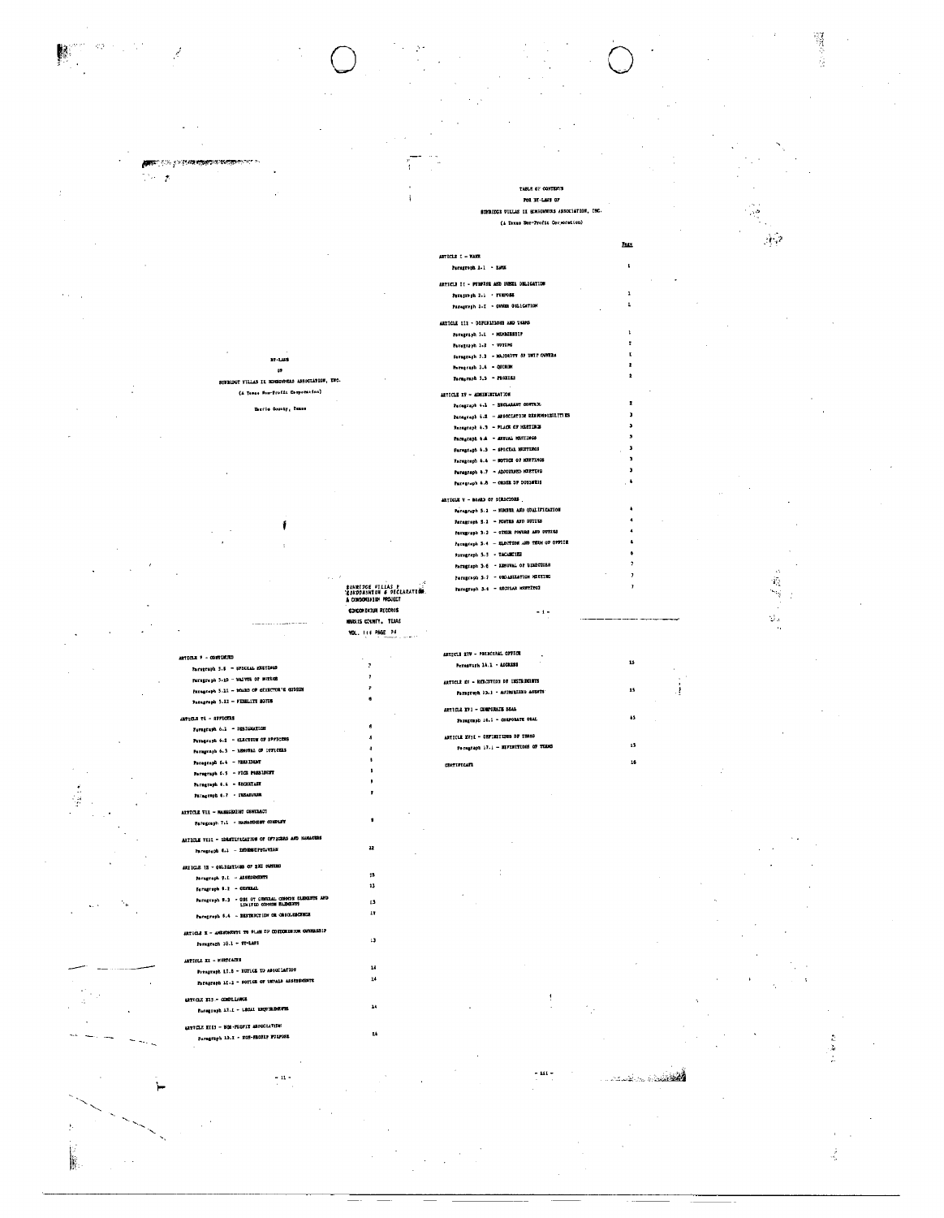|                       |                                                                                                                          |                                                                                               |                                                                                     |                   | 隱      |
|-----------------------|--------------------------------------------------------------------------------------------------------------------------|-----------------------------------------------------------------------------------------------|-------------------------------------------------------------------------------------|-------------------|--------|
|                       |                                                                                                                          |                                                                                               |                                                                                     |                   | ġ      |
|                       |                                                                                                                          |                                                                                               |                                                                                     |                   |        |
|                       |                                                                                                                          |                                                                                               |                                                                                     |                   |        |
|                       |                                                                                                                          |                                                                                               |                                                                                     |                   |        |
|                       | <b>COMPLETE SERVICE CONTRACTOR</b>                                                                                       |                                                                                               |                                                                                     |                   |        |
| [beline]<br>2002 - 20 |                                                                                                                          |                                                                                               |                                                                                     |                   |        |
|                       |                                                                                                                          |                                                                                               | TAILE OF CONTENS<br>FOR 3T-LAFS OF                                                  |                   |        |
|                       |                                                                                                                          |                                                                                               | SUMBIDGE VILLAS II SCREONISES (SSOCIATION, 19C.<br>(A Texas Son-Profit Corneration) |                   |        |
|                       |                                                                                                                          |                                                                                               |                                                                                     | <b>EMS</b>        | 31 - Z |
|                       |                                                                                                                          |                                                                                               | $\texttt{ATTICLE}$ 1 – $\texttt{NME}$<br>Paragraph 1-1 - EMIE                       |                   |        |
|                       |                                                                                                                          |                                                                                               | ARTICLE II - PURPESS AND DIREL DELICATION<br>Personal R.1 . FURFORE                 |                   |        |
|                       |                                                                                                                          |                                                                                               | Paragraph 1-1 - OWNER ORLIGATION                                                    |                   |        |
|                       |                                                                                                                          |                                                                                               | ARTICLE III - DEFERITIONS AND TERMS<br>Paragraph 3.1 . MENDERSER                    |                   |        |
|                       | 37-1.578                                                                                                                 |                                                                                               | Faregraph 3.2 - VOTING<br>Persaraph 3.3 - MAJORITY (SP UNIT OWNERs                  |                   |        |
|                       | 0 <sup>2</sup><br>SUNBIDGE VILLAS IL MOMEGENERS ASSOCIATION, INC.                                                        |                                                                                               | Paragraph 3.4 - QIORIN<br>Farmaraph 3.5 - PROXILES                                  |                   |        |
|                       | (A Texas Mon-Profile Corporation)                                                                                        |                                                                                               | AUTICLE IT - ADMINISTRATION<br>Persprayh 4.1 - EBCLARANT CONTROL                    |                   |        |
|                       | Berte County, Texas                                                                                                      |                                                                                               | Paragraph 4.2 - ASSOCIATOR RESPONSEELITERS<br>Passagraph 4.3 - PLACE OF HEETING     |                   |        |
|                       |                                                                                                                          |                                                                                               | Paragraph 4.4 - ANNUAL RESTINGS<br>Paragraph 4.5 - SPICIAL HURTINGS                 |                   |        |
|                       |                                                                                                                          |                                                                                               | Paragraph 6.6 - BOTICE OF REETINGS<br>Paragraph $4.7\rightarrow$ ADJ03332D REPTING  |                   |        |
|                       |                                                                                                                          |                                                                                               | Paragraph 4.8 - GROSE DF DUSSMESS                                                   |                   |        |
|                       |                                                                                                                          |                                                                                               | ARTICLE V - BOARD OF DIRECTORS.<br>Persareph 5.2 - FIRSE ARD QUALIFICATION          |                   |        |
|                       |                                                                                                                          |                                                                                               | Paragraph \$.1 - POWTER AND DUXIUS<br>Paragraph 3.3 - OTHER POWERS AND OUTLES       |                   |        |
|                       |                                                                                                                          |                                                                                               | Peragraph 3.4 - SLECTION AND TECH OF OFFICE<br>Paragreph 5.5 - TACANCIES            |                   |        |
|                       |                                                                                                                          |                                                                                               | Paragraph 5.6 - RENOVAL OF UIRECTORS<br>Paragraph 5.7 - ORCASILATION NEETING        |                   | Ť,     |
|                       |                                                                                                                          | SUNREDOE UTILIAS P<br>SONDOMINIUM & DECLARATION<br>& CONDONEXEUM PROJECT<br>COOMERIUM RECORDS | Porngraph 3.6 - REGULAR MINTITG2                                                    |                   |        |
|                       |                                                                                                                          | HARRIS COUNTY, TEXAS<br><b>YOL. 111 PAGE 74</b>                                               | - 1 -                                                                               |                   | V.     |
|                       |                                                                                                                          |                                                                                               | ARTICLE 21V - PRESCENT OFFICE                                                       |                   |        |
|                       | MITCLE P - CONTENTED<br>Paragraph 3.8 - SPECIAL HERTIFGS                                                                 |                                                                                               | Peregraph 14.1 - ADDRESS                                                            | 15                |        |
|                       | Paragreph 5.10 - WAIVER OF BOTICE<br>Paragraph 5.11 - SOARD OF GELECTOR'S QUDEUM                                         |                                                                                               | ARTICLE EV - REECUTEDS DE INSTRUMENTS<br>Paragruph 15.1 - AUTHORIZED AGENTS         | 15                |        |
|                       | Pasagraph 5.11 - PIBELITE BOYDS<br><b>MITGS II - SPFICES</b>                                                             |                                                                                               | ARTICLE XVI - COMPORATE SEAL<br>Faragraph 16.1 - CORFORATE SEAL                     |                   |        |
|                       | Faregraph $6.1 - 20316043108$<br>Paragraph 6.2 - ELECTION OF DPFICES                                                     |                                                                                               | ARTICLE EVAL - GEFINITIONS DF ISRNS                                                 | 15                |        |
|                       | Parageaph 6.3 - RENOVAL OF INFICERS<br>Porograph 6.4 - VEESIDENT                                                         |                                                                                               | Persgraph 17.1 - MIFINITIONS OF TEDES<br>CONTIFICATE                                | ${\bf 16}$        |        |
|                       | Faregraph 6.5 - FICE PEESIDENT<br>Paragraph 6.4 - ESCRETABE                                                              |                                                                                               |                                                                                     |                   |        |
|                       | Fanagraph 6.7 - renasumm<br>ARTICLE VIL - NAMAGEMENT GENTRACT                                                            |                                                                                               |                                                                                     |                   |        |
|                       | Fategraph 7.1 - HARLONGET COMPART                                                                                        | ٠                                                                                             |                                                                                     |                   |        |
|                       | AUTICLE VIII - IDENTIFICATION OF OFFICERS AND NAKACERS<br>Parsgraph 6.1 - INDESUFFICATION                                | $\bf 12$                                                                                      |                                                                                     |                   |        |
|                       | ARTICLE IN - ORLIGITIONS OF SHI DIMENSI<br>Paragraph 9.1 - ASSESSMINTS                                                   | $13$                                                                                          |                                                                                     |                   |        |
|                       | Persgraph 8.2 - CENERAL                                                                                                  | ${\bf 11}$                                                                                    |                                                                                     |                   |        |
|                       | Paragraph 9.3 - OSE OT CENTRAL COMONS ELEMENTS AND LINITED COMON ELEMENTS<br>Paragraph 8.4 - BESTRUCTION OR ORSOLENGEREE | L3<br>$\mathbf{L} \mathbf{T}$                                                                 |                                                                                     |                   |        |
|                       | ARTICLE X - ANDERSENTE TO FLAN DP CORDONABIUM OFFICIARIE<br>Peragraph $10.1 - \pi r$ -Lays                               | 13                                                                                            |                                                                                     |                   |        |
|                       |                                                                                                                          |                                                                                               |                                                                                     |                   |        |
|                       | ARTICLE XI - MORTCAGIS                                                                                                   |                                                                                               |                                                                                     |                   |        |
|                       | Pavagraph 17.5 - NOTICE TO ASSOCIATION<br>Paragraph 11.1 - NOTICE OF UEFALD ASSESSMENTE                                  | $\mathbf{u}$<br>$14\,$                                                                        |                                                                                     |                   |        |
|                       | ARTICLE XI3 - CONFILIANCE                                                                                                | $\mathbf{14}$                                                                                 |                                                                                     |                   |        |
|                       | Fansgraph 12.1 - LEGAL ENQUIREMENTS<br>ARTICUL SILS - NON-FROFIT ABSOCIATEDE                                             |                                                                                               |                                                                                     |                   |        |
|                       | Paragraph 13.1 - NON-FRONTP PURPOSE                                                                                      | u                                                                                             |                                                                                     |                   |        |
|                       | $\sim$ 11 $\sim$                                                                                                         |                                                                                               | $\mathbf{m}$                                                                        | المستحدث المستحدث |        |

 $\begin{aligned} \frac{1}{\sqrt{2}} \frac{1}{\sqrt{2}} \frac{1}{\sqrt{2}} \frac{1}{\sqrt{2}} \frac{1}{\sqrt{2}} \frac{1}{\sqrt{2}} \frac{1}{\sqrt{2}} \frac{1}{\sqrt{2}} \frac{1}{\sqrt{2}} \frac{1}{\sqrt{2}} \frac{1}{\sqrt{2}} \frac{1}{\sqrt{2}} \frac{1}{\sqrt{2}} \frac{1}{\sqrt{2}} \frac{1}{\sqrt{2}} \frac{1}{\sqrt{2}} \frac{1}{\sqrt{2}} \frac{1}{\sqrt{2}} \frac{1}{\sqrt{2}} \frac{1}{\sqrt{2}} \frac{1}{\sqrt{2}} \frac{1}{$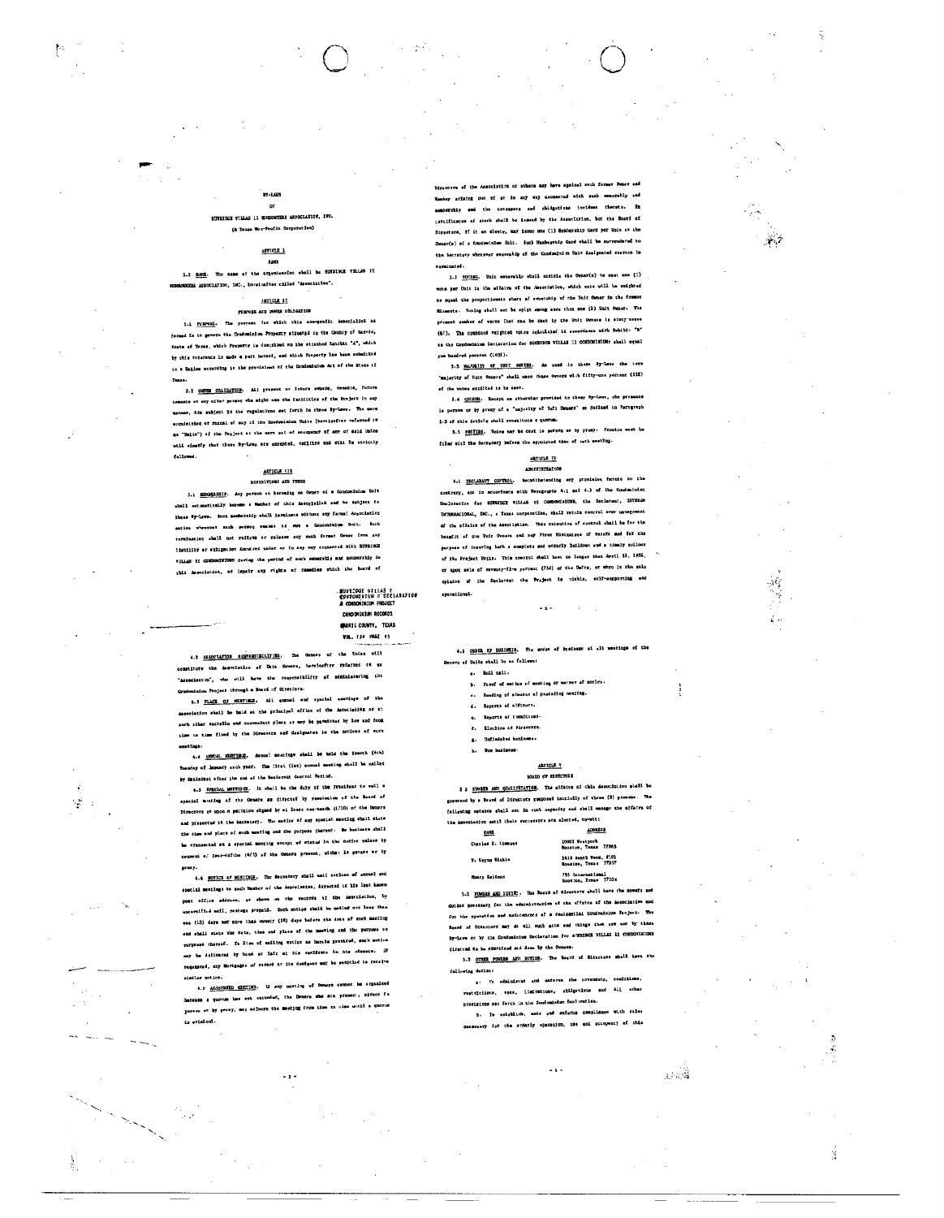# $\mathbf{or}$

# SUNRIDGE VILLAS II HOMEOMYERS ASSOCIATION, INC. (A Texas Mou-Profit Corporation)

### APTICLE 1 **TANK**

1.2 EMMI. The name of the orgeniestlon shell be SUNNIDGE VILLES 11 **OFNERS ASSOCIATION, INC., horeinafter colled "Association".** 

#### ATIGE II PERPOSE AND DINGS ORLIGATION

1.1 FURFOSE. The perpose for which this son-profit Associaliol as formed Is in govern the Condominium Property sixtuals is the County of Harcis, frate of Tessa, which Property is demoglied on the strethed Smitht "A", which by this reserance is sade a part horeof, and shich Property has been eventured to a Esline according in the provisions of the Condominium Act of the State of

Texas.

 $\overline{z}$ 

 $\frac{1}{2}$  $\cdot$ 

2.1 outne obligation. All present or inturn expens, tensits, future tenants or any other person who might use the facilities of the Project is any manner, im subject 20 the regulations set forth In three Sy-Laws. The mann acquisition of reacai sf say of the Condomisium Units (hereivafter referred tw as "Duits") of the Praject or the merm oct of scoupancy of any of said Unica will simstfy that there By-Lawo mem energied, catlited and will 2m secietly followed.

### ARTICLE 512 DEFINITIONS AND THREE

3.1 MOGLISH: Any person on heroming an Osmer ei w Comfortmiem Unit shall sutomatically become a Member of this description ond be subject to lbess ty-Laws. Bush membership shall larminate withset any farmel Association scriba whenever samb person reales on our a Gondonialum Dait. Soch termination shall not relieve or release any such former Owner from 107 lisbility or ebligation incurred under or in any way connected with SUTBLOGE cillas is concentrates during the period of such nemerably and eraborably in this memoistden, at impeir any rights of remedies which the Soard af

> . SUNRIDGE VIALLS E<br>CONDOMINIUM S'OECLARATION A CONSONINIUM FROJECT CONDON THEUR RECORDS MARIS COMPY, TEXAS VOL. 234 PAGE 15

4.2 ASSOCIATION REPORSIBILITIES. The Orners of the Units will constituty the Association of Unit Grace, hereinsfter referred tt ca "Association", who will have the responsibility of edulatering the **inium Project through a Board of Oirectors.** 

b.3 FLACE 07 MENTING. All commel and special westings of the Association shall he bald at the principal office of the Associalism of 4: scotings.

4.4 UNTUAL REETING. Annual meetings shall be bold the feesth (Ath) Toopday of Jasuary each year. The first (Int) amound meeting shall be called by Declarant steer the sud of the Declarant Conrrol Perind.

4.5 frECIAL MERTICS. It shall be the duty of the Frantdent to emli w sciel mesting of the Grants as diffected by remointion of the Board of Directors ot upon a palitico signed by el lasse sou-testh (i/10) of the Omnars and presented to the Secretary. The sotics of any special meeting shall state the class sud place of such meeting and the purpose instend. No businers shall he cransacted at a special meeting ascept of statud in the corice values by consent al feur-fdithe (4/5) of the Omners present, sither le person or by proxy.

4.6 MOTICS OF MESICKES. The Secretary shall wail asticas of summel and pocial memorante est rech Hamber of the Asgonization, directed to his lant known<br>pocial memorante to sech Hamber of the Asgonization, directed to his lant known post office address, at shows on the records 4f the Association, by uncertified mail, postege propaid. Such motion shall be metind not lose than esa (10) days mor more than ouncey (28) days bafors che daes af such manting and shall state the tate, time and plase af the meeting and the purpose or purpress thereof. In lies of matting rotion as herein provided, such sotion any be delicared by hand or Infr at his residence in his atsects. If requested, any Mortgages of record at its destgess may be establed to receive similar unties.

4.r Aniotzakin Micriko. If any meeting of Demere cannot be organized .<br>bacause i quorum hae est ettynded, the Dwoore who are yrsneo), clthor fo parson ot by prexy, may edjourn the meeting from time to nime until a quorum ts ettated.

etarton ar siberu may have agadosl such fermer Owner em Member arising one of or io any way coonsened with such cumerable and membership und the covenance and obligations incident thereto. He cartificates of stock chall be issued by the Association, but the Boarf of Directors, if it so sluctr, may issue one (1) Hembersity Card per Unis es the Owner(m) of a Condominium Enlt. Such Masberwhip Card whall be surrendered to the Secretety wherever ewoweakip of the Condominium Unit dealgoated thereon is seminated.

 $\mathcal{A},\mathcal{I}$ 

i al

 $\mathfrak{p}$ 

ś

3.2 YOULEG. Unit ewnerable shall entitle the Owner(a) to east one (1) rote per Unit is the effairs of the Mesociation, which wote will be weighted as equal the proportionate share af sweerchip of the Unit Owner in the Common Elements. Vening shall not be spitt among asve than one (1) Unit Owner. The present camber of vatus list cao be cast by the Unit Owners is sixty-sever (67). The combined veighted votes noloulated is somewhere with Embibit "B" ts the Condominium Decisionics for SUERIDGE VILLAS 11 CONDOMINIUM: shall squal rus huedred portont (1091).

3.5 MAJORITY OF UNIT DENTER. As used in these By-Lave the term "majarity of Unit Owners" shall mean thase Owners with fifty-one percent (51%) of the votes satilled to be cost. 1.4 QUEEUS. Except on otherwise provided in them Ry-laws, the presences

Is person or by presy of a "majority of Unit Osmers" as defined in Paragreph 1.3 of this frile)g shall comptitute a quorum.

3.5 PEOTIME. Votes say be cast is peten on by proxy. Proxice must be filed with the Secretary befess the appointed time of sath meeting.

# ARTICLE IV

ADMISTRATION 4.1 DECLEANT COFFROL. Notwithstanding any provisies herein to the contrary, and in accordance with Peragraphs 4.1 and 4.) of its Condominien Declaration for SUERIDGE CILLAS EI COMPONICIUMS, the Declarant, INTERN INTERNACIONAL, INC., a Texas corporation, shall retain secored ever management of the sfinite of the Association. This ratentino of contral shall be for the beaufit of che Unit Owners and ney First Hontgaters of recefd and for the purpuse of insering beth a complete and otderly faildout and a timely cullour of its Freject Uniis. This comerci whell last co lenger than April 13, 1956, or upon sele of seventry-five percent (75%) of the Unfts, or whro is the sola oplains of the Declarest the Praject is visits, etif-aupporting and sperational.

 $\sim 10^{-1}$ 

4.5 ORDER BY RUSINEIS. The erder of brainest al all meetings of the .<br>co ef Unile shall be as follown:

.. Boll cali.

- b. Freef of matics of meeting or watter of antles-
- Bosding of minutes of psecading menting.
- d. Separts of alfinors.
- o. Reports of tomaintees
- #. Electins of Pirsonars
- ..<br>g. Unfindsbyd banisaese
- b. How basiness.

# $ARTCL2$   $\gamma$ 10130 OF 8202CTO15

5.2 MUNIC AND CONTINUATION. The sifates of this Association shall be rand by a Basrd of Directors roupneed initially of three (3) parsons. The fellawing oscanos shell out in such capacity and shall manage the affatra of the association matil their successors are elected, townit:

| <b>MAGE</b>      | ADDRESS                                              |
|------------------|------------------------------------------------------|
| Carles L. iimost | 10001 Vestpork<br>Houston, Taxan 77003               |
| V. Vaynı Hickie  | 1410 month Vens, #101<br><b>Equator, Texas 77057</b> |
| Hancy Enlines    | 795 Internetional<br>Houston, Jesus 77024            |

5.2 POWERS AND LUTINS. The Roard of directors chall have the SOUNTS are dution necessary for the educatersetion of the effites of the Association and for the openation and naintenance of a residential Condrainium Praject. The Board of Oissurorn may do will such acts and things that are not by thins By-Laws or by the Condomisium Declaration for surgibut vitias is compositions

directed to be sucreised and done by the Owners. 5.2 OTHER FOREES AND BUTIES. The lostd of Directers shell have the

following ductions 2. It administed and enforce the covenants, conditions, emetriciione, vece, lisitatione, sbligotlone and ill ether

provisions sat forth in the Condomision Daclination. h. It celeblish, make oud enforce compliance with rales cocossery for the orderly sparation, use and occopaccy of this

.<br>કરવાં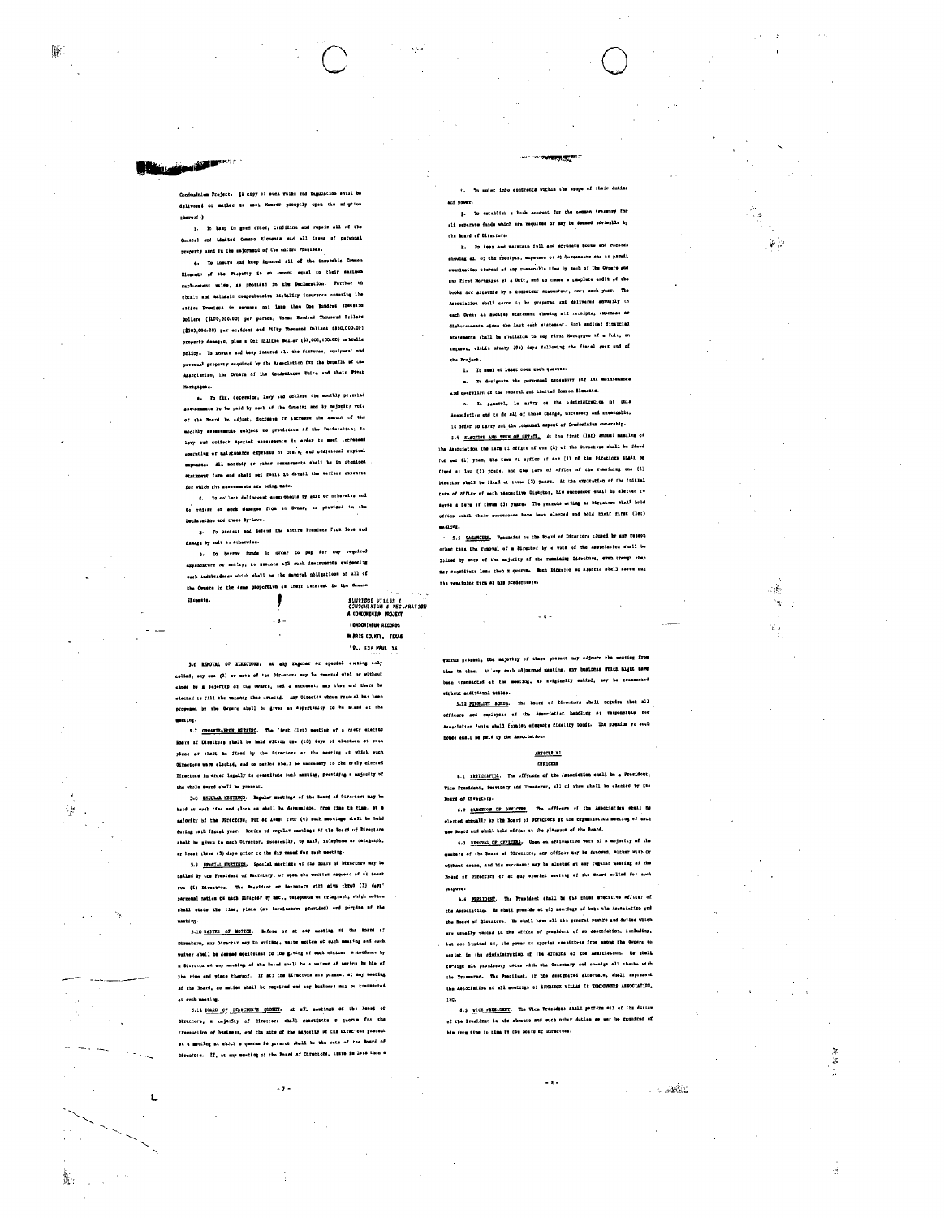am Project. It copy of such vulks vod samulation shall be delivered or matled to each Member prospily upen the adoption  $t$  forward  $\epsilon$  )

1. It hasp in good order, condition and repair all of the nicel and Limited Common Riemants and all items of personal property used in the exjoyment of the entire Prasiess.

4. To fasure and keep insured all of the insurable Common Sloments of the Property is an amount equal to their saminon replacement welon, so provided in the Declaration. Further to obtain and mainasis comprebansive lisbility insurence envering the entire Premises in amounts not less than One Rundred Theorem Dollere (\$170,000.00) per porsos, Tarsa Sundvad Thousand Drilars (\$30),000.00) per acrident and Pifty Thousand Dollars (\$30,000.00) property demages, plus a One Hillton Boller (\$1,000,000.0D) unifolia policy. To insure and keep insured all the fixtures, equipment sud parsound property acquired by the Asasclation for the benefit of tms Mesociatiso, the Oventa of the Condominion Unite and their Piest Nortgegeke-

a. To fix, determine, lavy and collegt the monthly premulad sestancests lo be paid by sath af the Omnota; and by mejoring voir or the Board is adjust, decrease to increase the amount of the monthly assessments subject to provisions of the Declaration; to lavy and collect special essessesses in arder to meet increased opminting of maintenance exposses ar costs, and oddicional repital expones. All monthly or riber semmented shall be in iteniced Atatement faim and shall set forth is detail the veriour expense for which the equationate are being made.

f. To collect delinquant seems onegts by eait or otherwise and to rejoir or seek danages from an Ovner, as provided in the Declaration and these By-Lave.

3. To protect and defend the antire Pramiuce from lose and denise by suit as athenoiss.

b. To beerow funds 30 arder to pay for any required smaaditure or eetlay; to swernte a33 such imatruments evigencing such indubtadness which shall be che saveral nbligations of all of the Owners in the same propertive is their interest in the Common

Slameta.

ţ  $\ddot{\phantom{1}}$ 

**I SUN'ATALIE DEFFERE WARTS COUNTY, TEXAS 10L. 134 PAGE 96** 

SUNRIDGE VILLAS C<br>CONDONIKIUN & PECLARATIO<br>A CONDONINIUM PROJECT

5.6 ESCOVAL OF ILESCIONS. At any regular ar special emeting  $\ell x 1$ callad, any cas (1) or uses of the Oirentors may be remoted with nr without cause by a sajority of the Orners, sed a successtr may then end there be elected to fill the varanty thus created. Any Ofrector whose researt has less proposed by the Ovnero shell be given an appretanity to be heard of the  $\mathbf{u}$  and  $\mathbf{f}$  as  $\mathbf{v}$ 

5.7 ORGANIZAPEON MERTING. The first (1rt) meeting of a cesty elected Soard af Diretters shall be hald within two (10) days of clocimon at soch place at shalt be fixed by the Directors at the meeting at which euch Oitactore ware alected, and co netice abell be ceccenery to the newly alected Directors in erder lagally to constitute such menting, presiding a majority of the whole Senrd shell be present.

5.8 ESCULAR ESETINGS. Begular meetings of the hoard of Directors may be held at esch time and gluca as shell be deturniend, from time to time, by a majority of the Directors, but at leest feur (4) such mentings stall be hald during each fiscal year. Notice of regular mastings of the Board of Biregiars abolt be given in each Director, purescally, by mail, inlephone or teixgraph, or least three (3) days prior to the diy named for such meeting.

5.9 PRICIAL REETINGS. Special mastings of the hoard of Directors say be called by the President of Recreasy, or upon the written request of et icest two (i) Directors. The Prasident or Serratery with give three (3) deys' parmemal notics to asth Dicarter by maci, telephone or triagraph, which motics shall state the time, place (so bersinators pravided) and purpise of the  $n$ 

3.10 W45VER OF NOTICE. Before or at any monting of the hound of Directors, any Director may to writles, welts motics of such meating and such waiver abell be deened equipriest to the giving of euch nation. attendance by a Director of any meeting of the Board shall be a vairne of necine by bis of lhe time and ylace thereof. If atl the Directors are promoted any meating of the Board, ac metter shall be required and any husiness may be trausacted at such meeting.

5.11 Hours of prasereat's guesting. At 13, seetings of the Soard of otrectors, a majority of birectors shall constitute a quorim for the cressaction of business, end the ante of the majority of the Directors phenent at a monting at which a quorum is present shall be the sate of the Board of Directors. If, at any meating of the Bourd af Oirectors, there is lass than a

 $\overline{\phantom{a}}$ 

 $\mathbf{L}$ 

i. To amier into contracts withis the erope of their duties and women

[. To autabitch a back account for the common tressury for ali separate foods which are required or say be feemed advisable by the Board of Directors.

b. To keep and naistain full and serurate books and records showing all of the receipts, expenses or disbureassets and to parmil examination therenf at any reasonable time by sech of the Owners and any first Novegages of a Unit, and to cause a gasplate ardit of the books ard accessie by a cospetent accountant, oncy sech year. The Associacion sbali causo t; he prepared and delivered annually to each Ormer an audires statement showing elf recoipts, expenses or diebursements since the last each statement. Bach audited financial acatements shall be graitable to say First Nortgravo of a Unit, on request, within aimsty (90) days fullowing the fiscel geer and o the Project.

1. To meet at least open much quarter.

m. To designata the perspheal necessary for the mointenance and opersion of the caneral and idnited Common Blonsate.

n. In general, le cevry es the administracies at this Amenciative and to do wil of those things, uscassery and reasonable,

is order to carry out the communal aspect of Comfoninium constanty. 3.4 FLIGTION AND TEIN OF OFFICE. 4t the first (lat) annual masles of the Association the issue of affice of one (1) of the Directors shall be fixed for our (1) year, the term of opfier of our (1) of the Directors shall be fixed at lap (1) years, and che lers of offics of the remaining one (1)

Director shell be fixed at three (3) years. At the uxpliation of the initial term of affice of each raspective Distator, his successor shall be alsoted to syrse a turn of three (3) years. The persons acting as birectrrs shall bold office until their successors have been sleeped and hold their first (let)  $-0.014$ 5.5 VACANCIES. Pecanoins on the Board of Ditectors sluged by any resson

other thas the Tumoval of m Director by e vote of the Asseciation shall be may constitute lase then m querum. Noth Diregeor so slected shell sares not the vesstuing term of his predecisare.

 $\sim 1.4$ 

quorum present, the asjottry of these present may edjourn the meeting from time to time. At eny such adjourned meeting, any business which might have base transacted at the weeking, se noiginally salied, may be transacte wirkent additional notice.

3.12 PROBLET BOEDS. The Board of Divertors shell regulae that all officars aed employers of the Association headling as vesponsible for assyclation funts shall furnish edegmeis fissity bonds. The pleadus we such bonde ehalt be paid by the Association.

### ARTICLE VI 03P1CBR

6.1 <u>DESIGNATION</u>. The officies of the issociation chall be a President, Vice President, Secretary and Trustern;, all of whom shall be slected by the Sourd of Measters.

6.3 OLECTION OF OFFICERS. The officers of the Association shull be clusted annually by the hourd of Directors at the organisation secting of each new Board and shill hold office at the plasmin of the Board.

6.1 REMOVAL OF OFFICERS. Upon an affirmative rate of a majority of the usebers of the Board of Directors, any officet may be famowed, althur with or without neuse, and his successor may be sleeted at any regular meeting ei the Beard of Directris or at any eyerint meeting of the meard culted for each purpose.

6.4 FREEIDENT. The Prasident shall be the thief executive afficer of cistico. He shall preside at ell meecings of bath the Asstrixtino and the Roard of Birnotors. He shall have slight general powers and duties which are usually vescad in the office of prazident of an association, including, hut not linited ts, the youer to appriat ceasitives from anong the Owners to segist in the eduinintration of the effairs of the Assacistion. De shall co-sige alt presissory astes with the Gearstery and co-sigs all checks with the Trummated. The President, or his designated elternate, shall repressed the Association at all meetings of infaings within It unconsume association,

4.5 VICE VELE:DERT. The Vice President shall perform atl of the ductaw of the Freeidnes in his absence and such mehrt duties as may be required of hin from time to time by the loave af Directors.

 $\ddotsc$ 

# $1.186$

 $\frac{1}{2}$ 

蠡。

 $\mathbb{R}$ 

Y,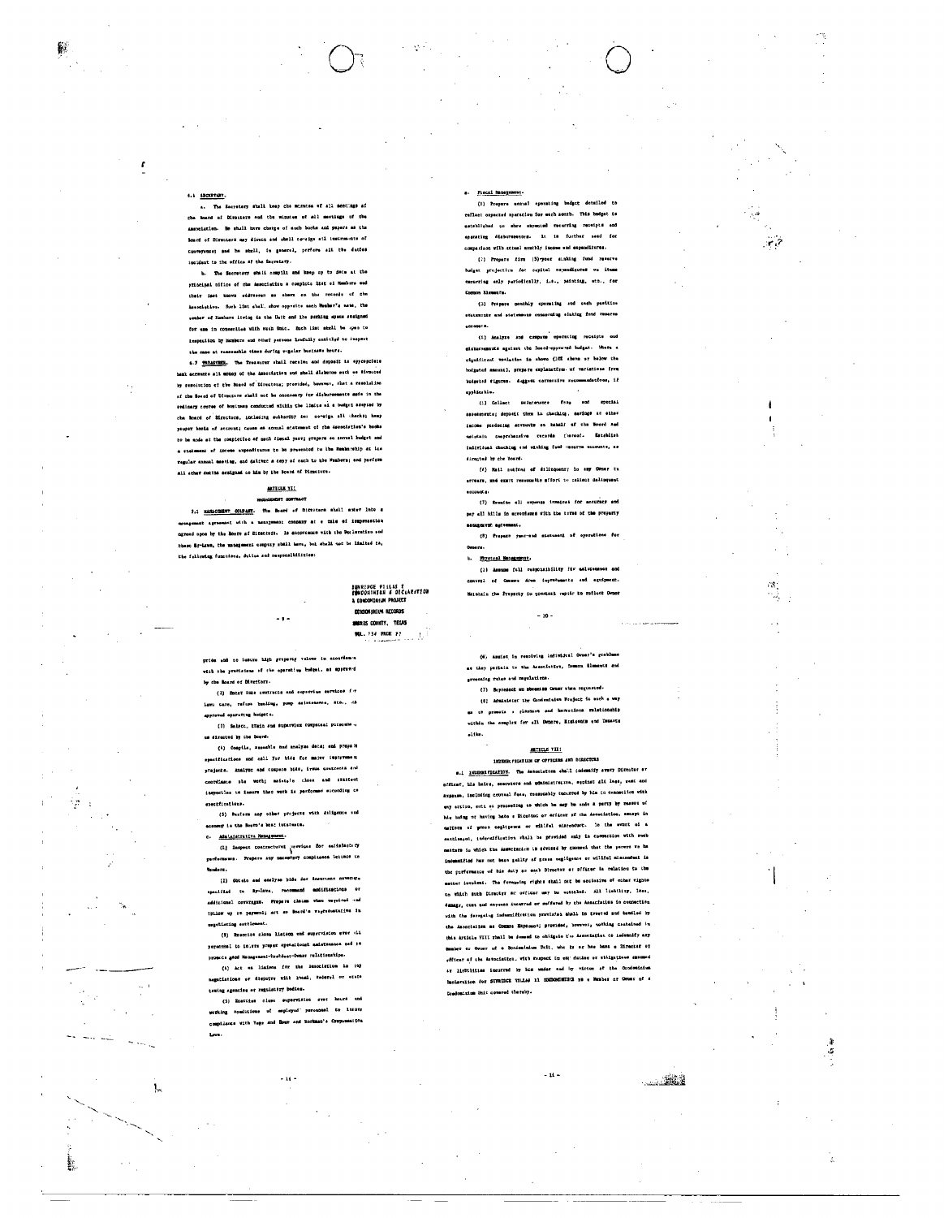#### 6.6 SECRETARY

f

a. The Secretary shall beep che menutas of all meetings af the loatd of Directors and the sinutes of all meetings of the association. Be shull have charge of such books and papers as the **Sourd of Directors may direct and shell co-sign atl instruments of** conveyence; and he shell, in general, perfore all the datter incident to the office af the Serminvy.

b. The Secretary shall compile and keep up to date at the principal nifice of the Aseccietion a complete list of Nembers end cheir jest known eddrasses as shown on the records of che Association. Such list shall, show opposite anch Member's new, the oember of Humbers Living is the Unit and the parking space sesigned for use in consection with such Unic. Such list shell be spen to inspeciion by Hembers and other persons lewfully entitlyd to inspect the same at resecueble times during regular business hours.

6.7 MARIEURES. The Treasurer shall tecsive and deposit is expressions ...<br>unte all monoy of the Association and shall disborne suck we Sivucced by gamelution of the Soard of Directors; proveded, bewever, shet a resolution of the Board of Directare shall not be onconsenty for distur-.<br>waa aada in the ary course of bosinuas conducted within the limits of a budget asspred by she Board of Mirectors, including culhority in: co-sign all checks; bear yaupar boola of account; neues as annual statement of the association's books to be mode at the compietion of mech fiscal pacr; grapers so smomsl budget and a statement of income ampenditures to be presented to the Healership at ice ragular annual meeting, and daires a copy of each to the Members; and parfare all other duties araigned to him by the Sound of Directors.

#### **ANTICLE 121** ment outside

7.1 MARAGEMENT COLPANY. The Board of Directors shall exter late a comet agreement with a menagement conpany at e male of iompensation agreed agon by the Moert af Directors. Is accordence with the Decleration and these \$f-Lava, the manqueent company shall have, but shall not be limited to, the fallowing functions, duties and responsibilities:

 $\ddotsc$ 

**IUNRIPGE VILLIS E<br>FONDONINIUM 6 OECLARATION** 

**A CONDITION PROJEC** CONDON:INTUM RECORDS

**MARIS COINTY, TEXAS VOL. 134 PAGE 27** 

prios and no iusuro high property values in accelesa-a .<br>with the predisions of the operative budgel, as approved by che Mostd of Divectors.

(1) Encer into suntracts and supervise services for igua care, refuse bunitug, pump saintehence, ato., 18 ved operating hodgets.

(1) Select, train and supervise competent porsonne. us directed by the South-

(6) Compile, assession and analyze date; and prepare esecifications and call For bids for major lestryces: projects. Analyze and compare bids, irmus coatracts and coordinate the woth; maintele close and crestent inspection to insure theo work is performed succeding as anaetfrations.

(5) Parfarm any other projects with daligence and uny ia tha Boern's bast interepta.

c. Administrativa Menagement.

(1) Inspect contractural pervises for entiminately<br>performance. Propero any mecessary compliance ictimes to **Senders** 

(1) Obtain and enalyse bids dor insurance coverune specifiad to By-laws, recommend modifications or addicional novarngus. Prepare claims when veguined and fpliow up za paymenl; att se Board's vagresustative in negotiating settlement.

(9) Execute close liminon and supervision ever (11) unnel to intrim yroper operational maintenance and te -<br>promocs gand Management-Realdwet-Owner relationships.

 $(4)$  Act as liaises for the inscelation in thy goliations or disputre with 19641, faderel or etacs taxing agencing of regulatory bodies.

(5) Exetcies closs supervision over hours and orking soudations of employed percentual to laster compliance with Yege and Roux and Horkman's Companies too Leve.

 $\sim 14$ 

#### s. Fincal Hansgenesc.

(1) Prepare entral operating reflast oxpected operacion for werh sonth. This budget is satablished on abov skyected recurring receipts and sparating disburgenors. It in further seed for comparison wilh scrusl armthly income and expenditures.

(1) Prepare five (5)-year sunking fund reserve hudgan projectium for cepital axpandigures on itums cacurring enly pariodically, i.e., painting, ato., for **Cornon Elementa.** 

(5) Propere monthly operating and cash perities efatemints and statements onncerning sinking fund vesarve .<br>sceents.

(1) Analyze and compane operating receipts and eisburkmasute agaizet the Dosed-spproved budgat. Where a significant vestation in chown (102 above or balow the budgeted emount), prepare explanatives of variations from bodgeted figures. duggest corrective recommendations, if applicable.

(1) Collect paintenance fore and special szosszente: deposit them in checking, savings at other income praducing accounts on habsilf of the Board and maintain congrebanaive records fincend. Rezablish individual checking and eisking fund measure accounts, as directed by the Board.

(f) Mail nutfons of dilinquency lu any Owner to erreers, xné exert resemments affort to callent delinquest

(7) firenthe all expense invoices for accuracy and pay all hills in accordance with the terms of the property .<br>mat, **MASASCETOR Agene** 

(8) Prapare year-and atotenent of operations for omere.

b. Mystral Management.

(1) Assume full responsibility for estates control of Counce Ares ingresements and aquipment. Maintain the Property in constant reprir to reflect Denet

 $-10 -$ 

(6) Assist in resolving individual Oveer's en as they pettain to the Associatten, Commun Elements and severning rules and regulations.

(7) Boycesent an absentan Greer shea regunated (8) Administer the Communists Project is such a way

te promote a gleomant and barwonious relationship within the complex for all Denors, Risionnis end Tenaots aiths.

# **ARTICLE VIII**

INDEGE FIGATION OF OFFICERS AND DIRECTORS s.1 INCONSTRATION. The Association shall indensity away Director av officat, ble beire, executera and edainistratura, mepinat eli lase, rest and axpense, including counsal fees, tossonably turnted by him in cannelion with eny artion, eutt as proceeding to which he may be ande a party by reasse of hie baing ut having base a Dicactor or eritear of the Association, except in matters of pross negligence or witlful misrunduct. In the evant of a sattlensot, indentificatius shall be previded enly in community with such matters in which the Amenciacism is soviesd by choosed that the person to he indemnified her not been guilty of gress negligance or willful nisconduct is the porformance of his duty as such Director or prigner is relation to the satter involvat. The foremeing rights shall not be sectesive of other vights to which suth Directrr ar orficer may be ectrical. All limbility, less, ...<br>damagy, comt und anyeems discutred or suffered by the Assaciaties in connection with the foregoing indemnification provision shall be treated and bendled by the Association as Common Expansat; provided, however, cothing casteined in this Article VIII rhall be demend to chilgale t'se Association co indensity any Manber er Ovser of e Dondonisium Unit, who to ar has base a Edracter of rfficer of the desociation, with massed in emy duties or shilgetiens sprumed ay lightlities iscurred by his under and by virtue of the Goodonizium Declaration for SUNRIDGE VILLAS 11 COMMONDIEUG ys + Member or Orner of a Condomician Unit covered thereby.

 $-11$ 

 $\mathbb{Z}$ 

Þ ìs

 $\sim$   $2$ 

 $\mathcal{S}_1$ 

n.

۱.,

 $\epsilon \rightarrow 0$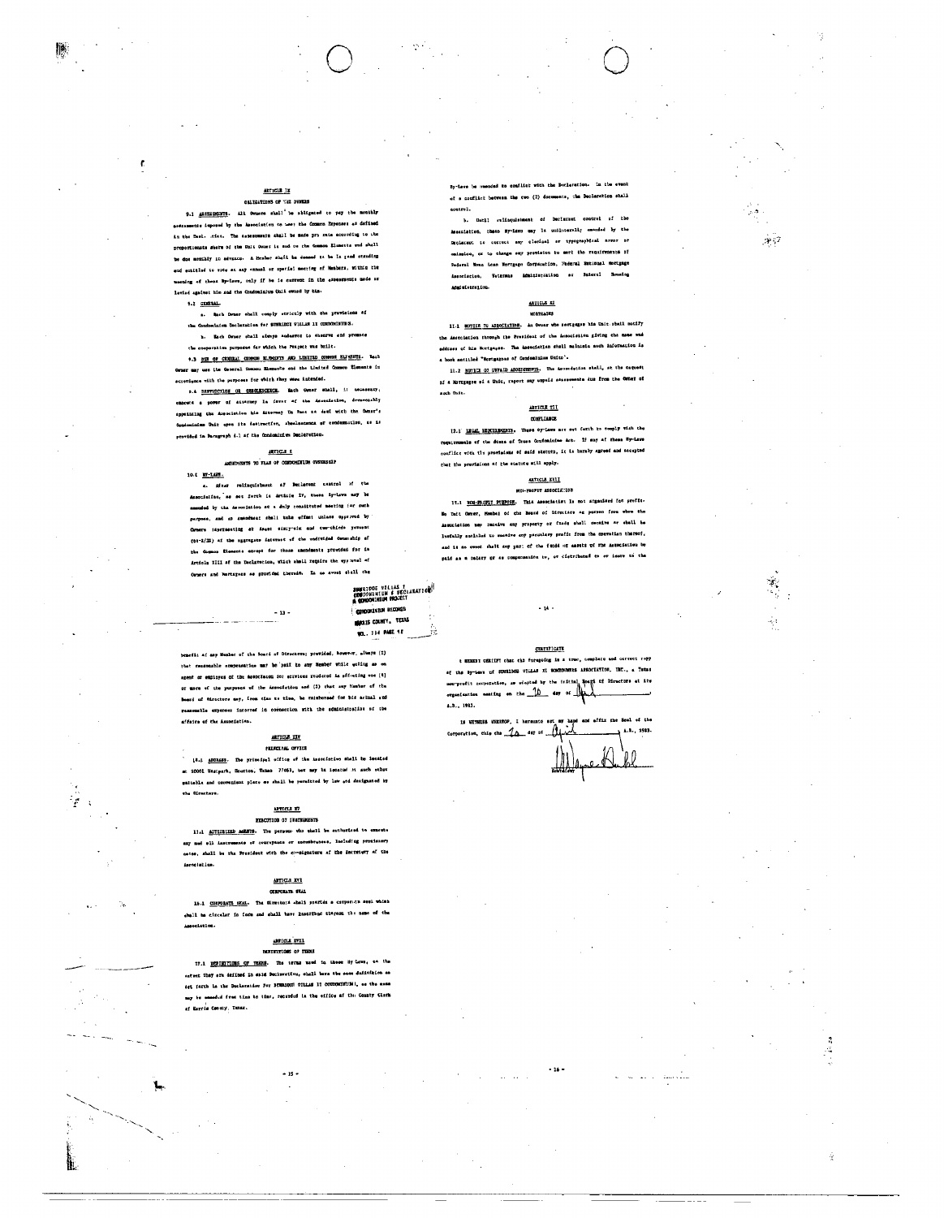ξę  $\ddot{\phantom{a}}$  SHNKIDGE VILLAS I<br>CONDODHINIUM & DECLARATION<sup>S</sup><br>A **CONDO**MINIUM PROJECT CONDOMINIUM RECORDS

Ŷ.

**MARIE COUNTY, TEXAS** 

VOL. 154 PARE 1E

 $\sim 7$ 

 $\frac{1}{\sqrt{3}}$ 

# ARTICLE IN

## ORLTGATIONS OF THE OVVICE

9.1 ASTESDONTS. All Owners shall be obligated to pay the monthly asensments imposed by the Association to meet the Common Expenses as defined in the Deck- .ties. The septements shall be made pro rate according to the proportionate shere of the Unit Owner is sud to the Common Elements wond shall be due monthly in advance. A Heaber shall be deemed to be Ic pool standing and actitled to vote at any summal or special meeting of Members, within the meaning of these My-lave, only if he is current in the executents made or levied against him and the Condominium Unii owned by him.

 $9.2$   $\overline{CDE1AL}$ 

a. Such Owner shall comply strictly with the provisions of

the Condominium Declaration for SUNRIDGE VIIIAS 11 CORDIDITIES. b. Each Orner shall always andesvor to abserve and promote

the cooperative purposes far which the Prayect was built-

9.3 BEE OF CROSSIL CONSON ELEGANTS AND LEATED CONSON ELEGITS. Mach ir may use the General Common Elements and the Limited Common Elements in accordence with the purposes for which they were intended.

0.4 BETTIECTION OR GENERALISCHEN. Nach Ostar stall, if cocassary, uts a power of acterney la fever of the Association, drawoocahly appointing the American his attorney On fact to deal with the Omer's Condominium Unit open its destruction, absolutement of condamnition, as is provided in Paragraph 4.1 af the Condominium Decleration.

# **ATIGA X**

# ACCUPATION TO FLAN OF CONTONIELES OWNERSELY  $10.1$  <u>IV-1429.</u>

a. After relinquishment af Declaront cantrol of the Association, se set farth is Article IV, these hy-Laws any be amended by the Association at a duly consittated meeting (ar such parpose, and as excedent shall take effect unlass opproved by Outness inpersesting at deapt siziy-six and two-chirds yettent (66-2/33) af the aggregate fatorest of the undivided Ownership of the Common Elements except for those amendments provided for in Articla FIII of the Declaration, which shall require the eye-weel of Owners and hortagaes as provided therein. In as avont shall the

.<br>bet of the Wontd of Directore; provided, however, "Iways (1)

that resentable compressition may be paix to any Hember while soling as on or more of the purposes of the Association and (1) that any tiesbar of the board uf Oirectors may, from time to time, be roinbursed for his actual and reasonsble experses intorred in commertion with the soministantion of the affairs of the Association.

# ARTICLE XIV **FRIECIPAL OFFICE**

[#.1 <u>aDDRASS</u>. The principal office of the associative shall be incated et 10001 Vastpark, Boorton, Taxan 77063, har may be incated it such other saitable and convenient place as shall be permitted by law and designated by the Oirectors.

### $\frac{1}{2}$ PERCIFICS OF INSTRUCENTS

# 11.1 AUTUCRIERD AGENTS. The persons who shall be authorized to execute any ned all instruments of conveyance or encumbrances, lociteding promissory nates, shall be the Prasident with the co-sagnature of the Socretury of the derectables.

# arica Ni

CORPORATE STAL 16.1 CORPORATE SEAL. The directors shall practes a corporate seel which shall be circular in form and shall have knowlind thirson the name of the innociation.

# ANTICLE EVEL DEFINITIONS OF TERM

17.1 ESSIELTINES OF TERMS. The terms used in these Sydnes, as the utent ihay era defined in esid DeciswatKou, ehall bera the same dafinition as det farth la the Declaration for MTRAIDOF VILLAS 11 CONDORCEURI, se the same may be esseded free time to time, recarded in the office of the County Clark of Marris County, Taxaz.

By-Leve be memoded to conflict with the Bucleration. In the event of a conflict between the two (2) documents, the Beclaration shall acatrol.

b. Until relinquisiment of betterest control of the esciation, these my-lave may is unileterally emanded by the Declarent to correct any clerical ar typographical arror or celesion, or to change say prevision to meet the requirements of Sederal Mone Loan Mortgage Corparation, Paderal Satinaal Mortgage Association, Veterans Administration or Federal Housing Administration.

# **DETICLE AT** NORTGAONS

11.1 MOTICS TO ASSOCIATION. An Over who settlesse his Unit shall notify the Association through the President of the Association giving the mans and eddines of his Mortgages. The association shall melatein such information in a book nutitled "Murtgagons of Condeminium Unito".

11.2 MOVICE OF UNTAID ASSESSMENTS. The Association shall, at the caquest of 4 Mortgagee of 4 Unic, raport say umpeid sessorments due from the OWDer of such Vair.

# ARTICLE III

**CONFLIANCE** 12.1 INGAL REQUIREMENTS. These oy-laws are set forth to comply wish the als of the deats of frame Confeminium Act. If may at these Hy-Lave conflice with the provisions of said statute, it is barely agreef and accepted that the provisions of the statute will apply.

# anca nu MON-PROPIT ASSOCIATION

17.1 RON-FROFIT PURFOSE. This association is not argueded for profit-No Unit Owner, Hombas of the Sound of threetars as parson from whom the Association may receive any property or funds shall receive ar shall be listfully satitled to recaive any peruniary profit from the operation thereof, and is no ovent shall any part of the funds of ansats of the Association be paid as a malary or as compatmating to, or clatributed to or inure to the

 $\sim$   $\mu$  -

# CERTIFICATE

t EXHEST CONSIST chat the furegoing is a true, complete and correct ropy ef the hy-Less of SUNILDOG VILLAS XI ROCENTRIES ASSOCIATION, IMC., a Texas now-profit computerise, as educted by the indical sharp of Directors at its 4.0., 1983.

IN WITHING WHEREOP, I havenute or corporation, this the  $12$  or of  $\mu$ . A.A., 1983.

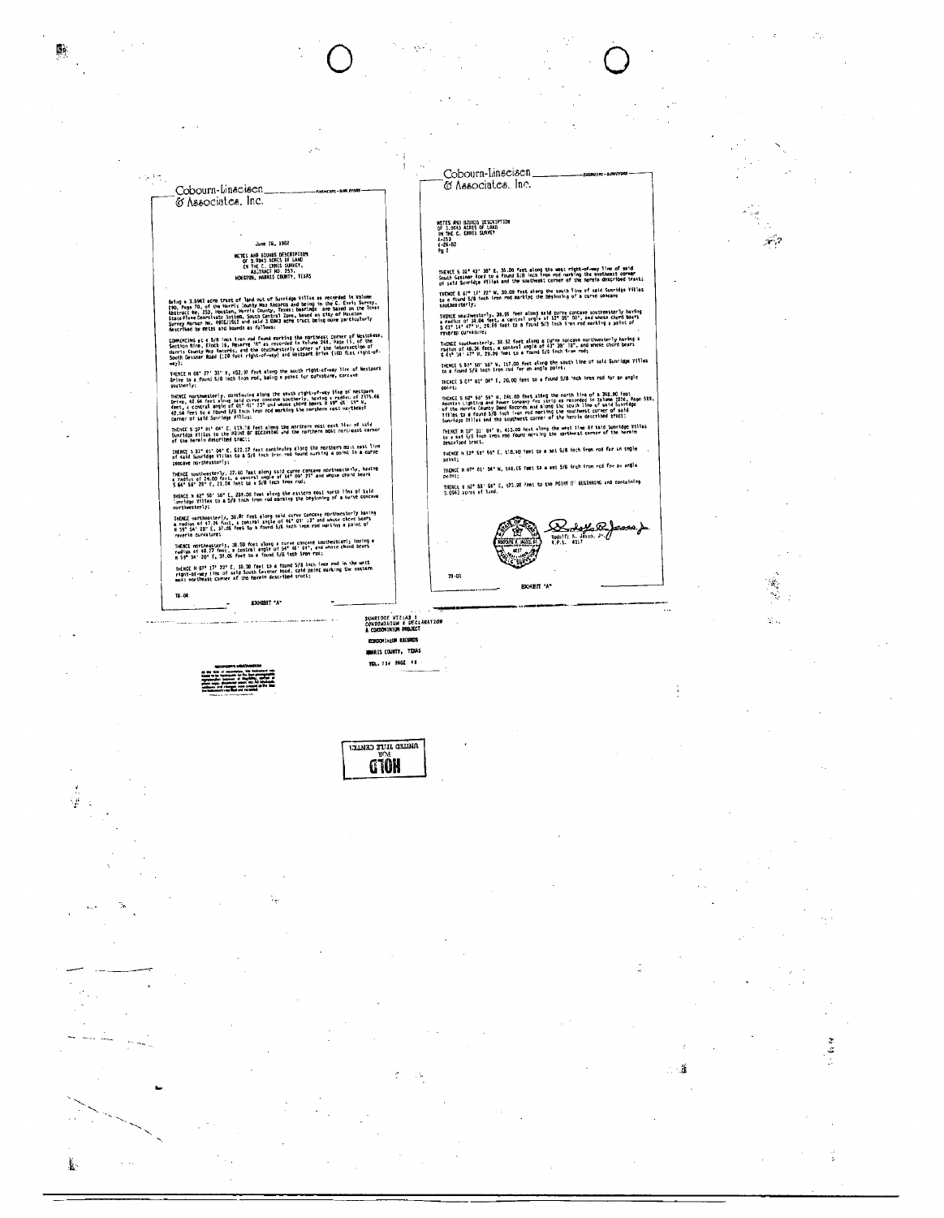麟

 $\mathcal{F}$ 

ķ.

 $\sim$   $\sim$ 

وكتور

τó,

医后

ã



**UNITED THE CENTER** 

GÏÕH

MARIS COUNTY, TEXAS **YOL: 734 PAGE 49** 

**SUNRIDGE UIZLAS I<br>CONDONINIUM I DECLARATZON<br>A CONDONINIUM PROJECT<br>ECONDONINIUM RECORDS**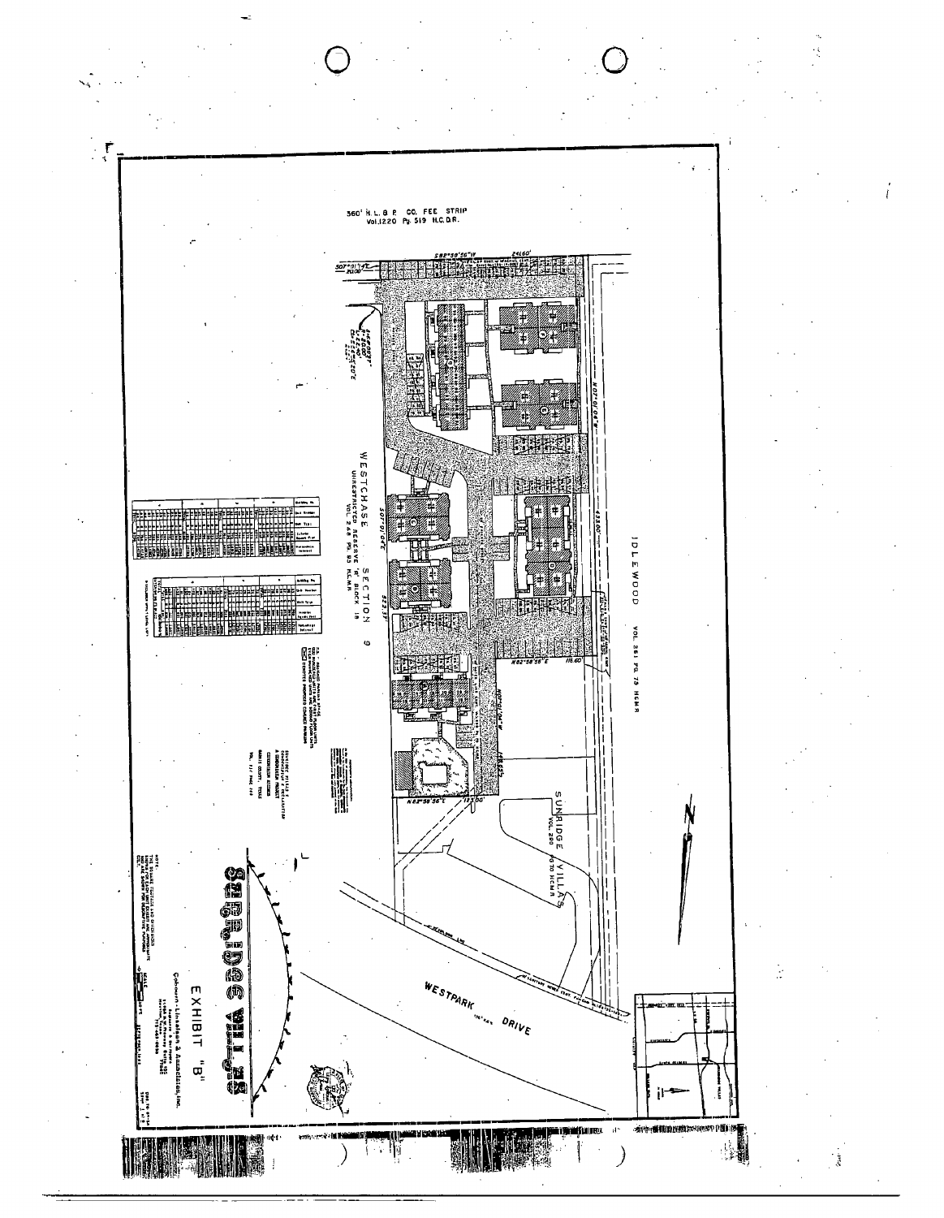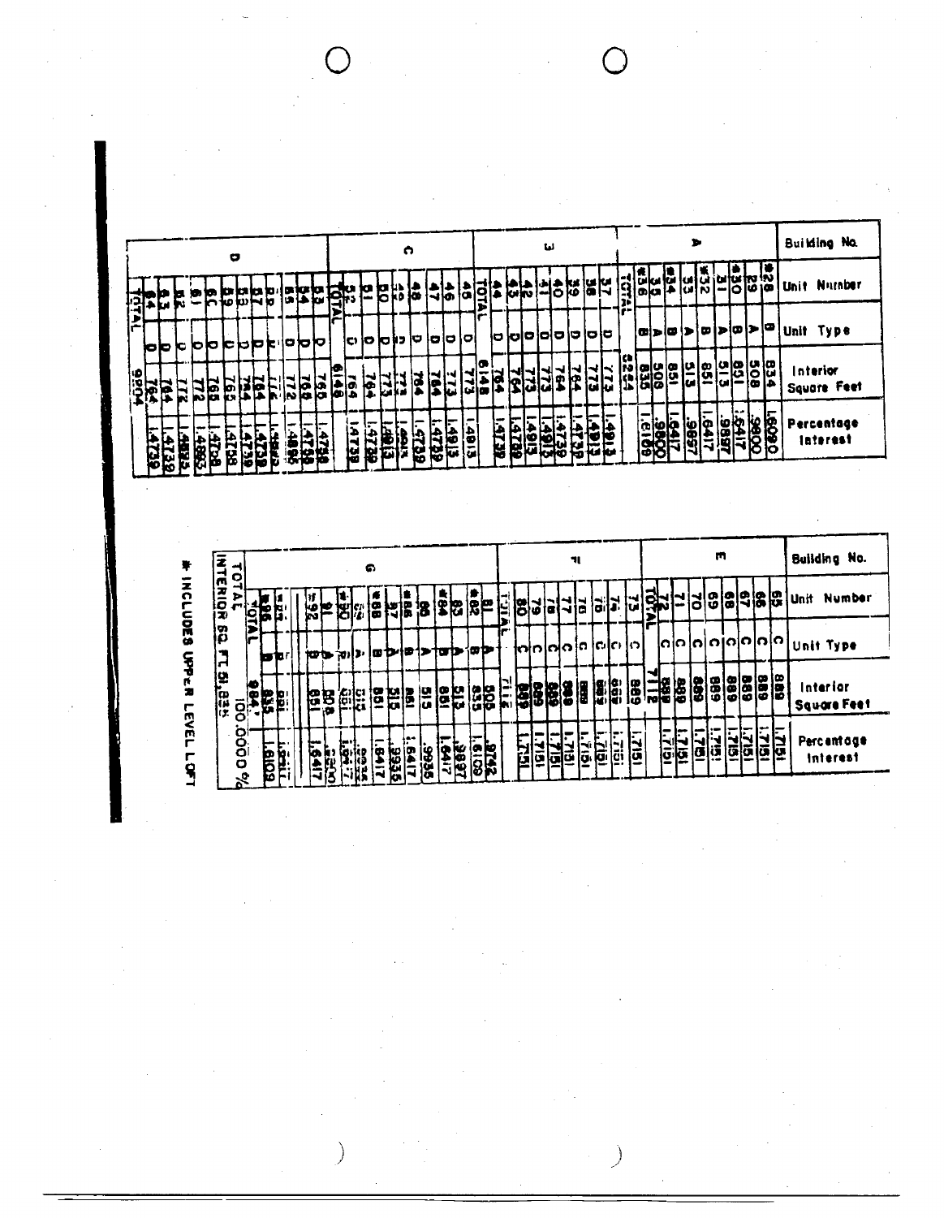|     | دوا<br>۱œ     | lœ         | $\frac{1}{24}$          | 06091               |
|-----|---------------|------------|-------------------------|---------------------|
|     | 認             | I٦         | io<br>G                 | 侶<br>о              |
|     | ľ٥            |            | ငြ                      | ٠.<br>ΨÞ            |
|     | معدا          | סוכו       | o<br>uŀ                 | m<br>ē              |
|     | $\frac{a}{b}$ | ø          | ë                       | 1179                |
|     | اتا           |            |                         | \$86                |
|     | ļÿ.           | ł٣         | G                       | л<br>Ě              |
|     |               | Þ          |                         | n                   |
|     | aki<br>Laka   | œ          | <b><u>ala</u></b><br>88 | Φ<br>œ              |
|     | ςi.           |            | μ<br> F8<br>یا          |                     |
|     | Ľ             |            | H                       | 넁<br>ь              |
|     | ۱.<br>آه      | 1010       | IJ                      | ī.                  |
|     | 隨             | טו         | ľ\$                     | ë,<br>5             |
|     | Ò             |            | ņ                       | takio               |
| t.) | -mail         |            |                         |                     |
|     |               | 10 0 0     | œ                       | ž                   |
|     | k             | Ю          | ß                       | р<br>E              |
|     |               | łО         | ğ                       | <b>ACTE</b>         |
|     | 읐             |            | I.<br>e.                |                     |
|     | Ιō            | о          | الحا                    | $rac{10}{2}$        |
|     |               |            |                         | <b>Eller</b>        |
|     | t~i lah       | 1010       | ×                       | 4739                |
|     | 価             | Þ          | ę                       | 冯<br>66             |
|     | . Fö          |            |                         | ь<br>п              |
|     | Ğ             | <b>DIS</b> | G                       | Ь<br>m              |
|     | 9             | ю          | $\frac{1}{2}$           | $\sqrt{2}$<br>62.75 |
|     |               | יםי        | ۱ő                      | <b>AT29</b>         |
|     | c             |            | ه                       |                     |
|     | Φ<br>tru      | ю          | $\overline{291}$        | ъ                   |
|     | в<br>ū        | ю          | io<br>10                |                     |
|     | ٠<br>Ľ.       | 10         | le i                    |                     |
|     | Ğ             | r'         |                         |                     |
|     |               | σ          | R                       | s                   |
|     |               | p          |                         | کتا                 |
| O   | $\frac{1}{2}$ | c          | io<br>U                 | <b>RE2P</b>         |
|     | Р             | ю          |                         | ь<br>g              |
|     | æ.            | p          | $\frac{1}{2}$           | 4862                |
|     | Р<br>w        | ю          | 711                     | <b>ABPA</b>         |
|     |               | с          |                         | <b>AT39</b>         |
|     | IG.           | 0          | àk,                     | <b>REI</b>          |

**A INCLUDES UPPER LEVEL LOFT** 

控制

**Hudb** 

| Ē<br>o                            |   |           |            |          |   |            | ິ                    |    |                      |    |      |                              |   |     |          |        | 71 |    |                      |    |           |     |     | м |   |                 |                 |                 | <b>Building No.</b>            |
|-----------------------------------|---|-----------|------------|----------|---|------------|----------------------|----|----------------------|----|------|------------------------------|---|-----|----------|--------|----|----|----------------------|----|-----------|-----|-----|---|---|-----------------|-----------------|-----------------|--------------------------------|
| <b>ENIOR</b><br>ъ                 | ę |           |            | ۱ę<br>M  |   | 関係   富     |                      | 榴鵑 | 18                   |    | 胃乳因乳 |                              | 恺 |     |          |        |    |    | 183643656            |    | <b>SH</b> | ıч  |     |   |   | $ S $ 8 9 9 8 8 |                 | Unit            | Number                         |
| အြ<br>F                           |   |           | <b>UTI</b> |          |   |            | מה מות לשומים יות קש |    |                      |    |      |                              |   |     |          |        |    |    | iolololo la la la la |    |           |     |     |   |   |                 | lujujujujujujuj | Unit Type       |                                |
| ဖြ<br>היו<br>גי<br>$\overline{S}$ |   |           | ig.        | 恺        | B | <b>els</b> |                      |    | <u> 일본명</u>          |    |      |                              |   | ISI | ها ۱۰ اه | 131313 | Jœ | 倡  | 488                  |    |           |     | 13  |   |   |                 |                 | <b>Interior</b> | <b>Square Feet</b>             |
| <b>0000</b><br>ò.                 |   | <b>DR</b> | Į.         | ю<br>فحا | ш | 1-10E      | ሞ                    |    | <u>9935<br/>Girl</u> | ю. | 19   | ுவம்<br>$\bar{\mathbb{S}}$ r |   |     |          |        |    | ļ₫ | 回回                   | ١đ |           | ই।ত | IO. |   | ū | łō              | 忌               |                 | Percent oge<br><b>Interest</b> |

 $\vec{u}$ 

 $\blacktriangleright$ 

Building No.

**Unit Number** 

Unit Type

Interior<br>Square Feet

Percentage<br>| laterest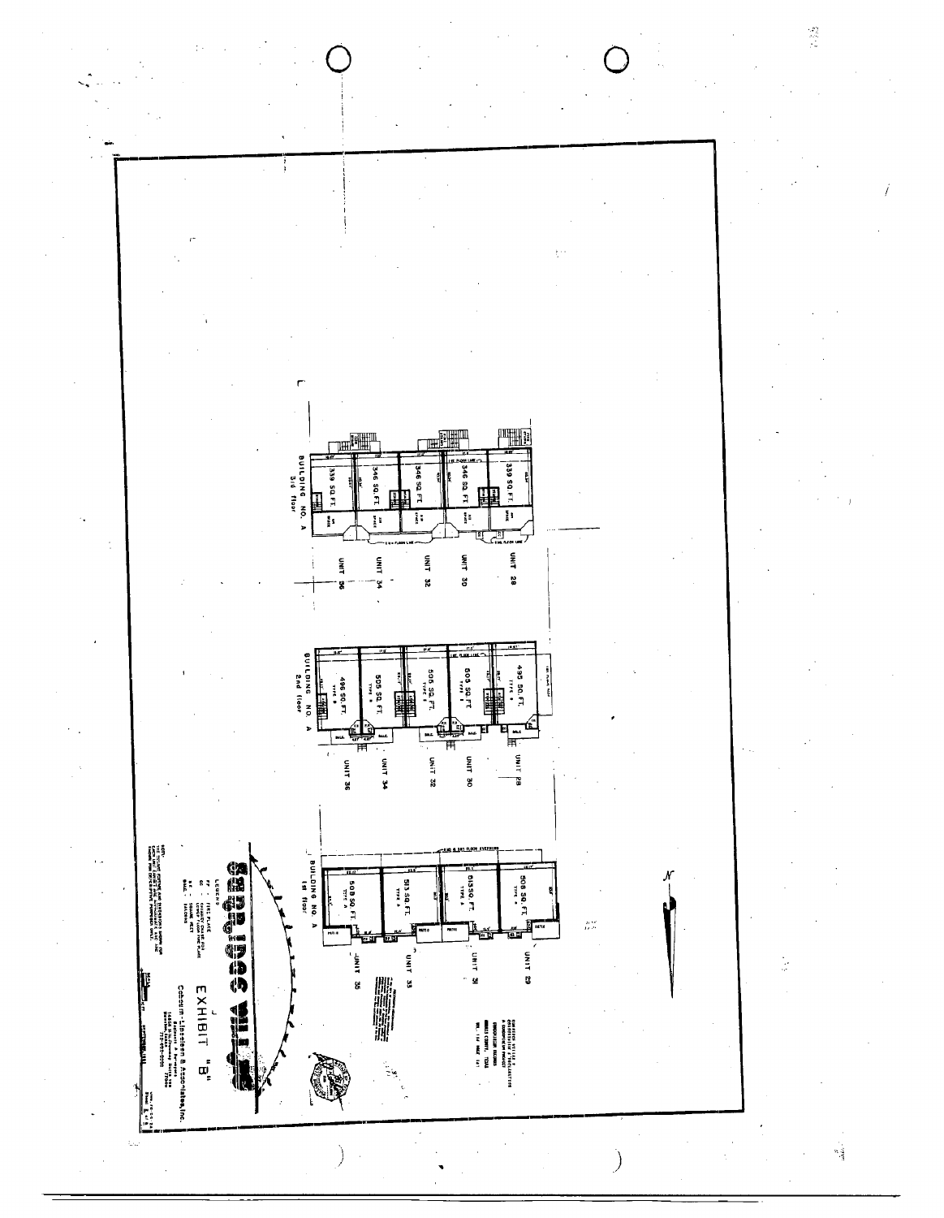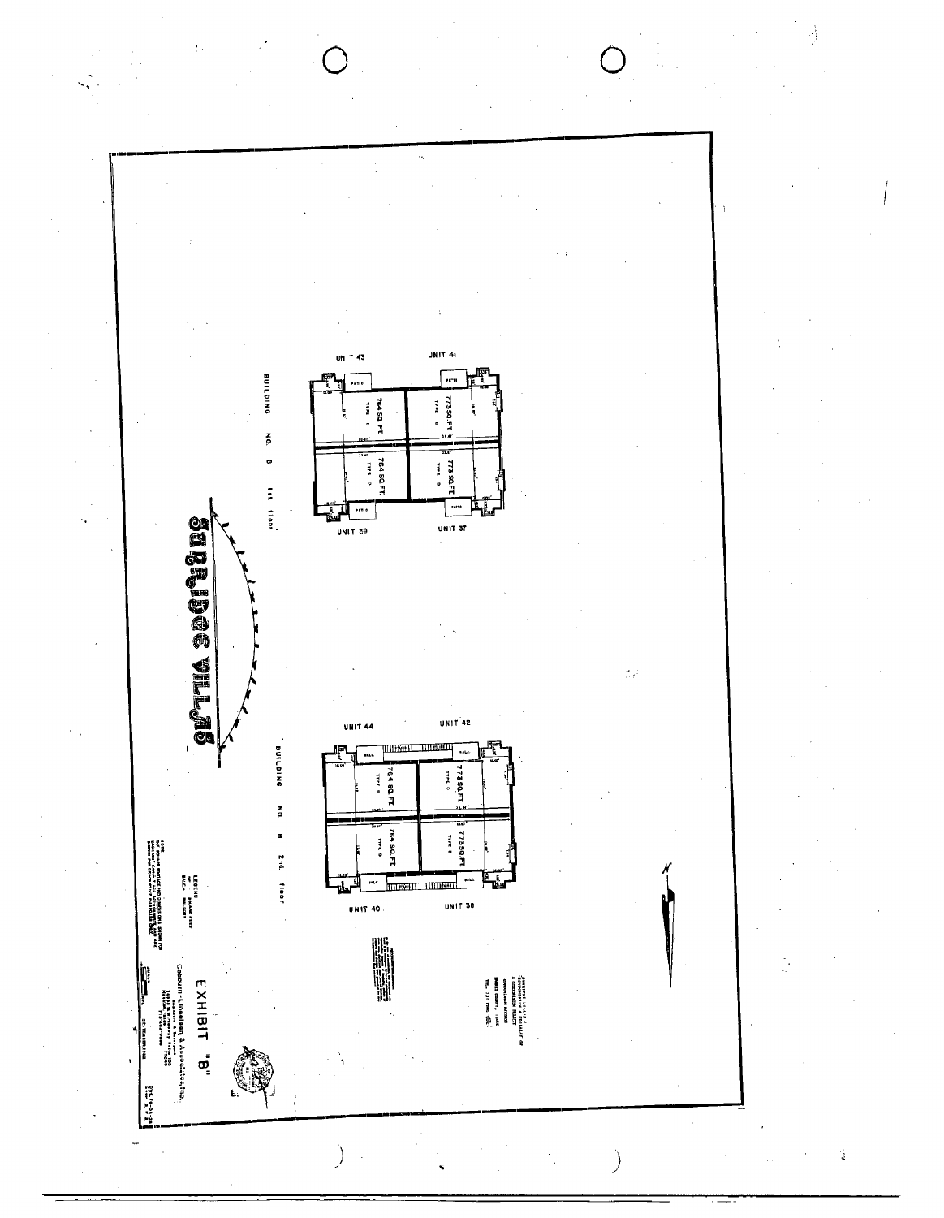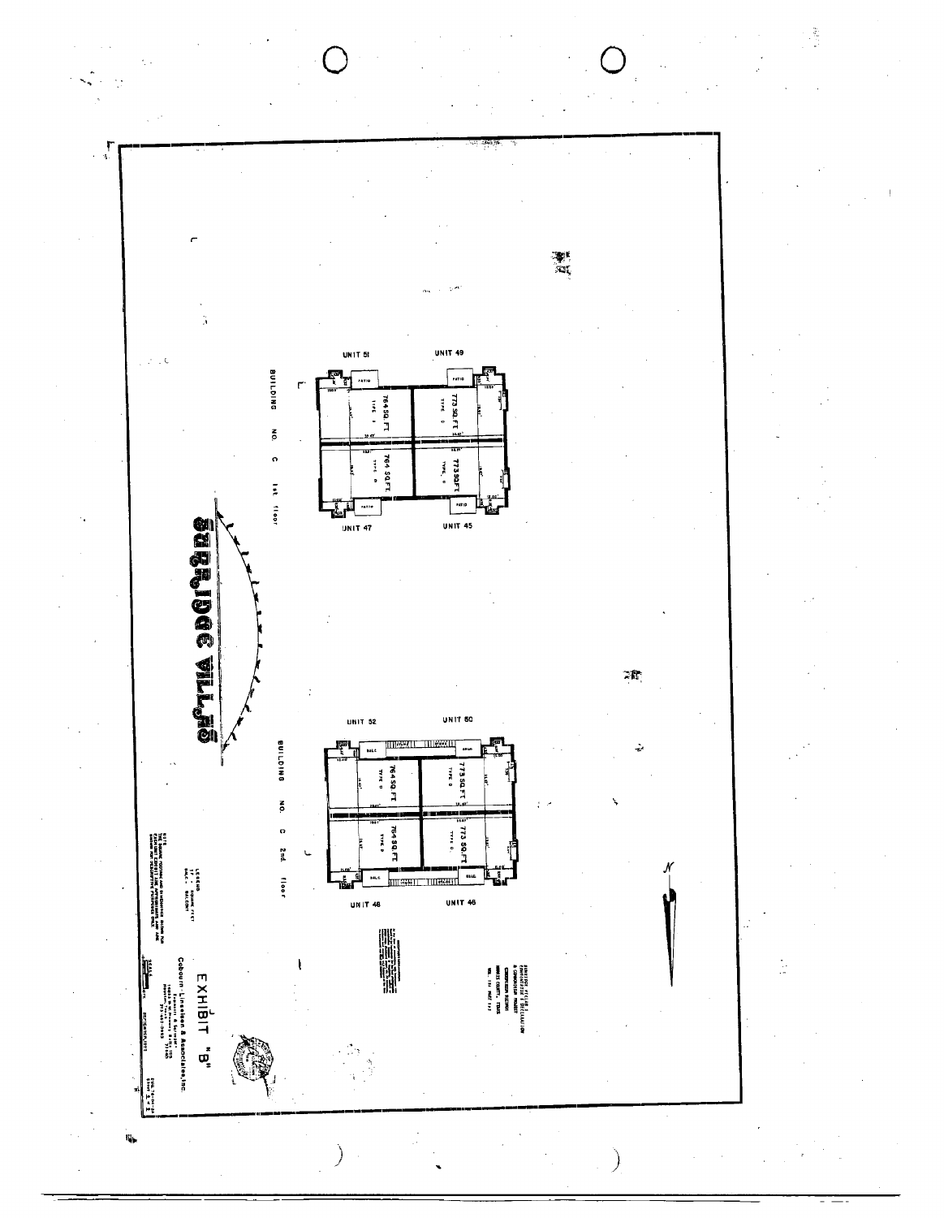

∲.<br>Se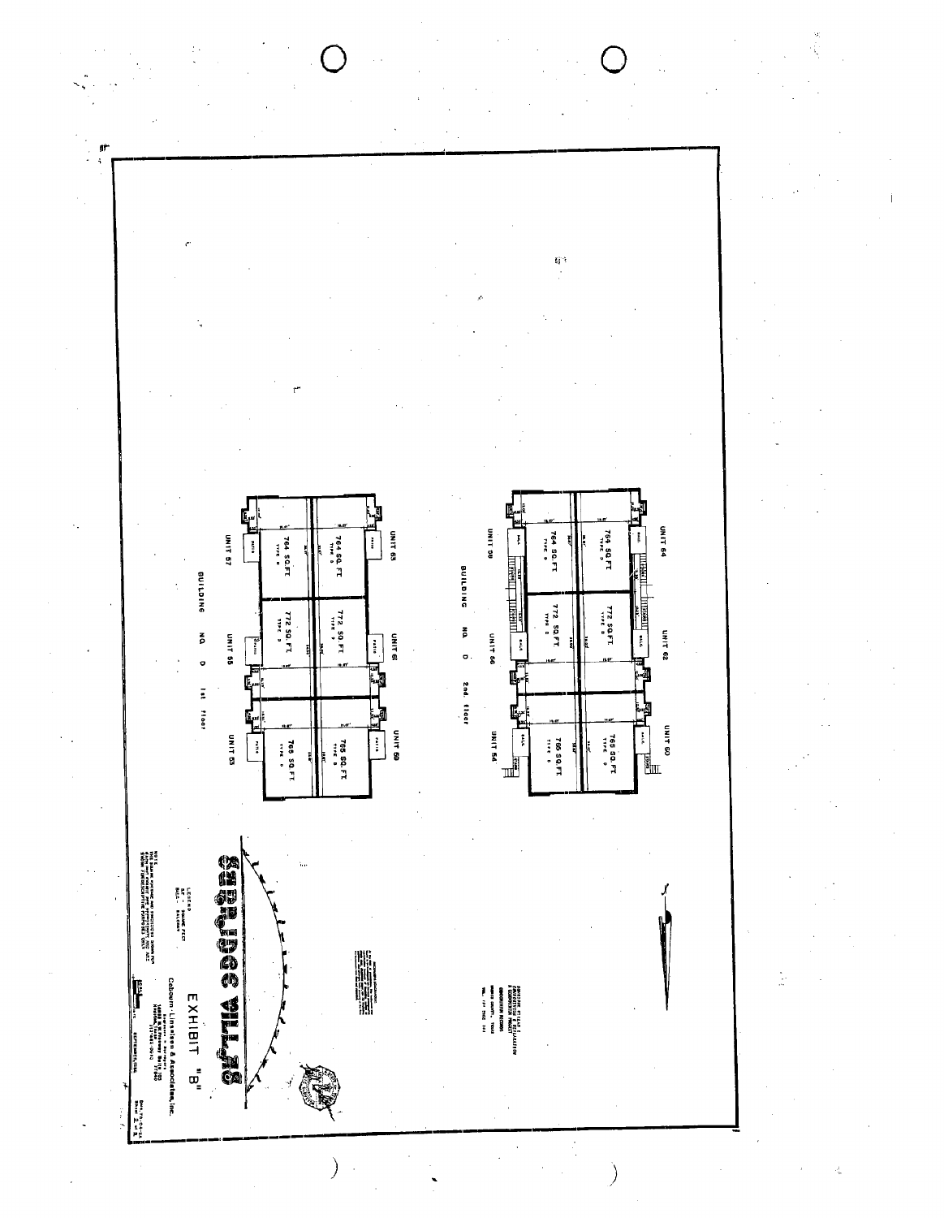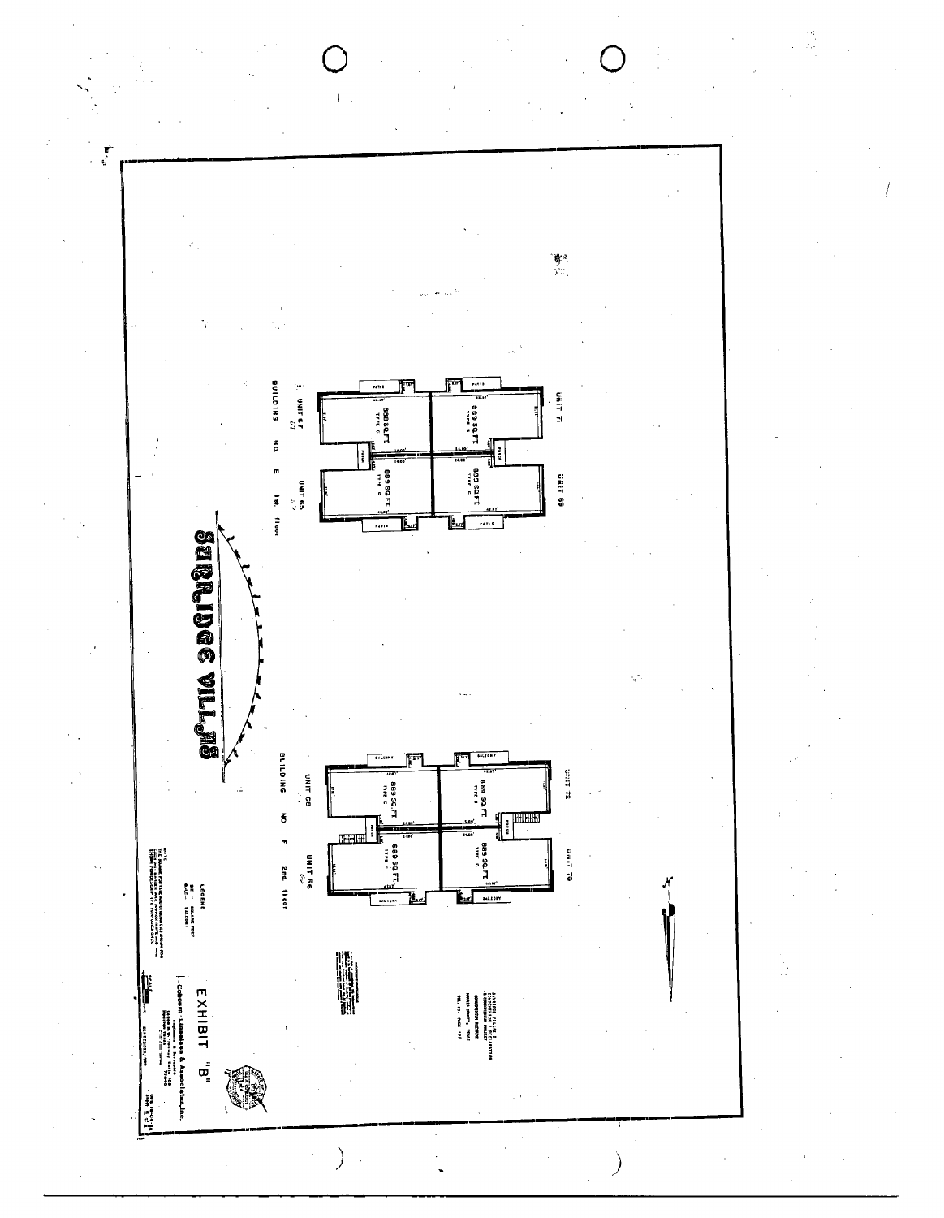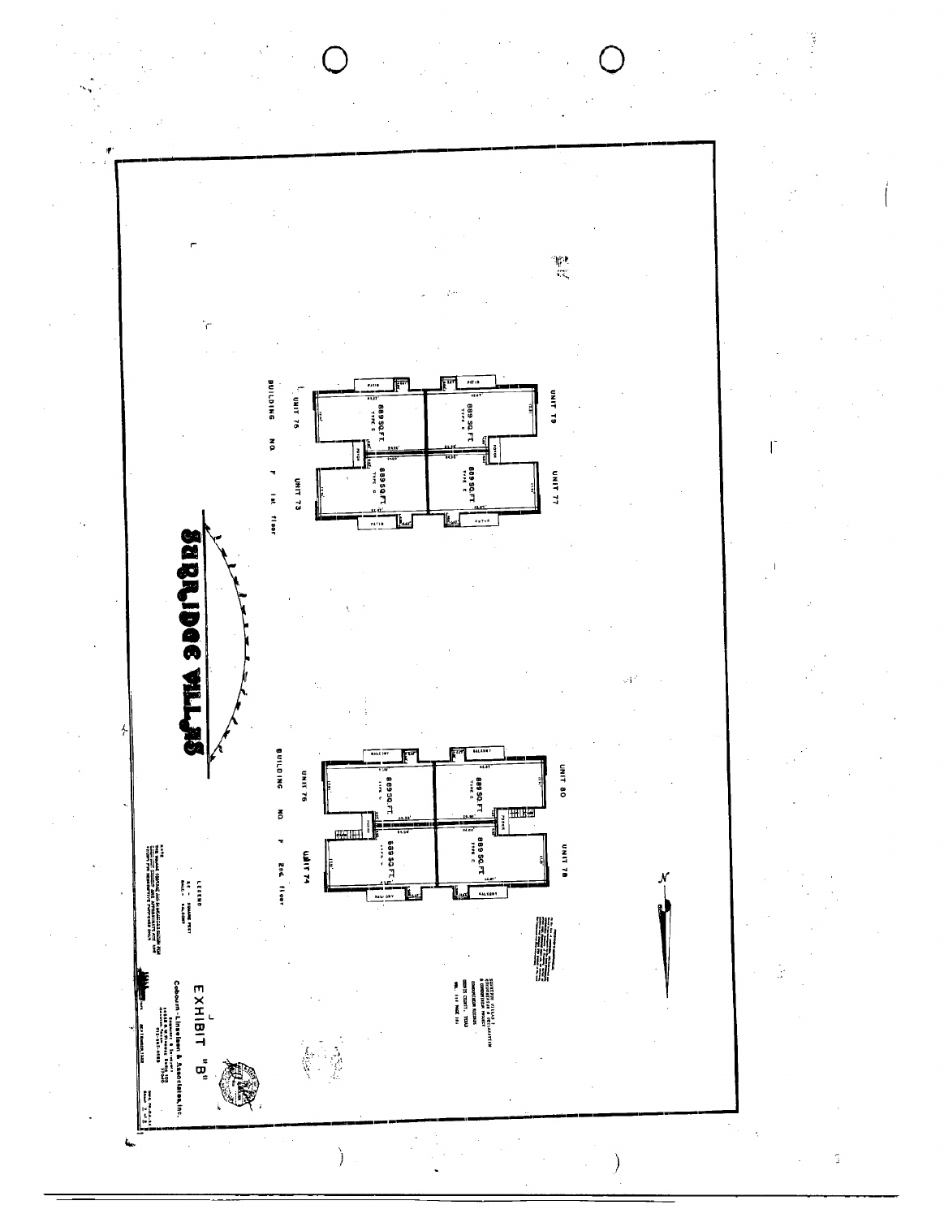